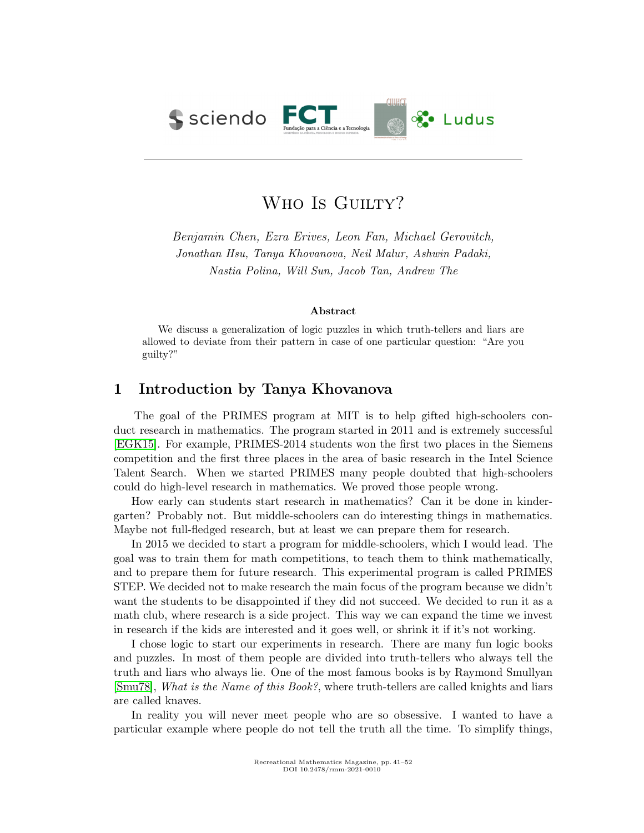

# WHO IS GUILTY?

Benjamin Chen, Ezra Erives, Leon Fan, Michael Gerovitch, Jonathan Hsu, Tanya Khovanova, Neil Malur, Ashwin Padaki, Nastia Polina, Will Sun, Jacob Tan, Andrew The

#### Abstract

We discuss a generalization of logic puzzles in which truth-tellers and liars are allowed to deviate from their pattern in case of one particular question: "Are you guilty?"

## 1 Introduction by Tanya Khovanova

The goal of the PRIMES program at MIT is to help gifted high-schoolers conduct research in mathematics. The program started in 2011 and is extremely successful [\[EGK15\]](#page-11-0). For example, PRIMES-2014 students won the first two places in the Siemens competition and the first three places in the area of basic research in the Intel Science Talent Search. When we started PRIMES many people doubted that high-schoolers could do high-level research in mathematics. We proved those people wrong.

How early can students start research in mathematics? Can it be done in kindergarten? Probably not. But middle-schoolers can do interesting things in mathematics. Maybe not full-fledged research, but at least we can prepare them for research.

In 2015 we decided to start a program for middle-schoolers, which I would lead. The goal was to train them for math competitions, to teach them to think mathematically, and to prepare them for future research. This experimental program is called PRIMES STEP. We decided not to make research the main focus of the program because we didn't want the students to be disappointed if they did not succeed. We decided to run it as a math club, where research is a side project. This way we can expand the time we invest in research if the kids are interested and it goes well, or shrink it if it's not working.

I chose logic to start our experiments in research. There are many fun logic books and puzzles. In most of them people are divided into truth-tellers who always tell the truth and liars who always lie. One of the most famous books is by Raymond Smullyan [\[Smu78\]](#page-11-1), What is the Name of this Book?, where truth-tellers are called knights and liars are called knaves.

In reality you will never meet people who are so obsessive. I wanted to have a particular example where people do not tell the truth all the time. To simplify things,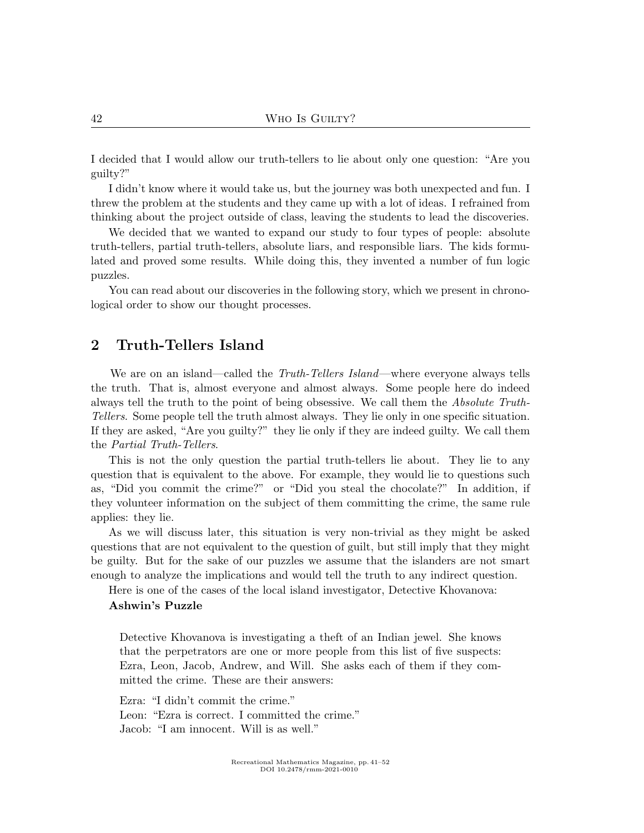I decided that I would allow our truth-tellers to lie about only one question: "Are you guilty?"

I didn't know where it would take us, but the journey was both unexpected and fun. I threw the problem at the students and they came up with a lot of ideas. I refrained from thinking about the project outside of class, leaving the students to lead the discoveries.

We decided that we wanted to expand our study to four types of people: absolute truth-tellers, partial truth-tellers, absolute liars, and responsible liars. The kids formulated and proved some results. While doing this, they invented a number of fun logic puzzles.

You can read about our discoveries in the following story, which we present in chronological order to show our thought processes.

## 2 Truth-Tellers Island

We are on an island—called the *Truth-Tellers Island*—where everyone always tells the truth. That is, almost everyone and almost always. Some people here do indeed always tell the truth to the point of being obsessive. We call them the Absolute Truth-Tellers. Some people tell the truth almost always. They lie only in one specific situation. If they are asked, "Are you guilty?" they lie only if they are indeed guilty. We call them the Partial Truth-Tellers.

This is not the only question the partial truth-tellers lie about. They lie to any question that is equivalent to the above. For example, they would lie to questions such as, "Did you commit the crime?" or "Did you steal the chocolate?" In addition, if they volunteer information on the subject of them committing the crime, the same rule applies: they lie.

As we will discuss later, this situation is very non-trivial as they might be asked questions that are not equivalent to the question of guilt, but still imply that they might be guilty. But for the sake of our puzzles we assume that the islanders are not smart enough to analyze the implications and would tell the truth to any indirect question.

Here is one of the cases of the local island investigator, Detective Khovanova:

#### Ashwin's Puzzle

Detective Khovanova is investigating a theft of an Indian jewel. She knows that the perpetrators are one or more people from this list of five suspects: Ezra, Leon, Jacob, Andrew, and Will. She asks each of them if they committed the crime. These are their answers:

Ezra: "I didn't commit the crime." Leon: "Ezra is correct. I committed the crime." Jacob: "I am innocent. Will is as well."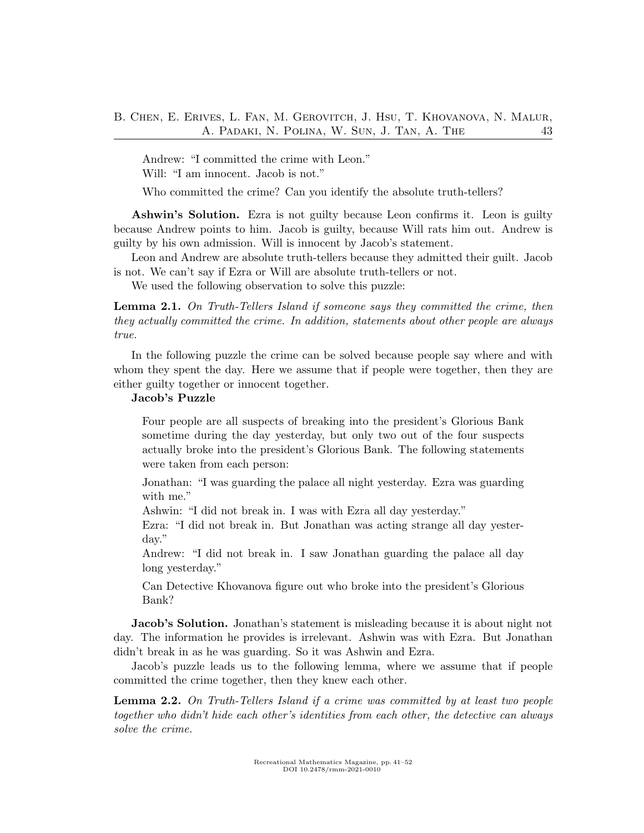Andrew: "I committed the crime with Leon." Will: "I am innocent. Jacob is not."

Who committed the crime? Can you identify the absolute truth-tellers?

Ashwin's Solution. Ezra is not guilty because Leon confirms it. Leon is guilty because Andrew points to him. Jacob is guilty, because Will rats him out. Andrew is guilty by his own admission. Will is innocent by Jacob's statement.

Leon and Andrew are absolute truth-tellers because they admitted their guilt. Jacob is not. We can't say if Ezra or Will are absolute truth-tellers or not.

We used the following observation to solve this puzzle:

<span id="page-2-0"></span>Lemma 2.1. On Truth-Tellers Island if someone says they committed the crime, then they actually committed the crime. In addition, statements about other people are always true.

In the following puzzle the crime can be solved because people say where and with whom they spent the day. Here we assume that if people were together, then they are either guilty together or innocent together.

## Jacob's Puzzle

Four people are all suspects of breaking into the president's Glorious Bank sometime during the day yesterday, but only two out of the four suspects actually broke into the president's Glorious Bank. The following statements were taken from each person:

Jonathan: "I was guarding the palace all night yesterday. Ezra was guarding with me."

Ashwin: "I did not break in. I was with Ezra all day yesterday."

Ezra: "I did not break in. But Jonathan was acting strange all day yesterday."

Andrew: "I did not break in. I saw Jonathan guarding the palace all day long yesterday."

Can Detective Khovanova figure out who broke into the president's Glorious Bank?

Jacob's Solution. Jonathan's statement is misleading because it is about night not day. The information he provides is irrelevant. Ashwin was with Ezra. But Jonathan didn't break in as he was guarding. So it was Ashwin and Ezra.

Jacob's puzzle leads us to the following lemma, where we assume that if people committed the crime together, then they knew each other.

<span id="page-2-1"></span>Lemma 2.2. On Truth-Tellers Island if a crime was committed by at least two people together who didn't hide each other's identities from each other, the detective can always solve the crime.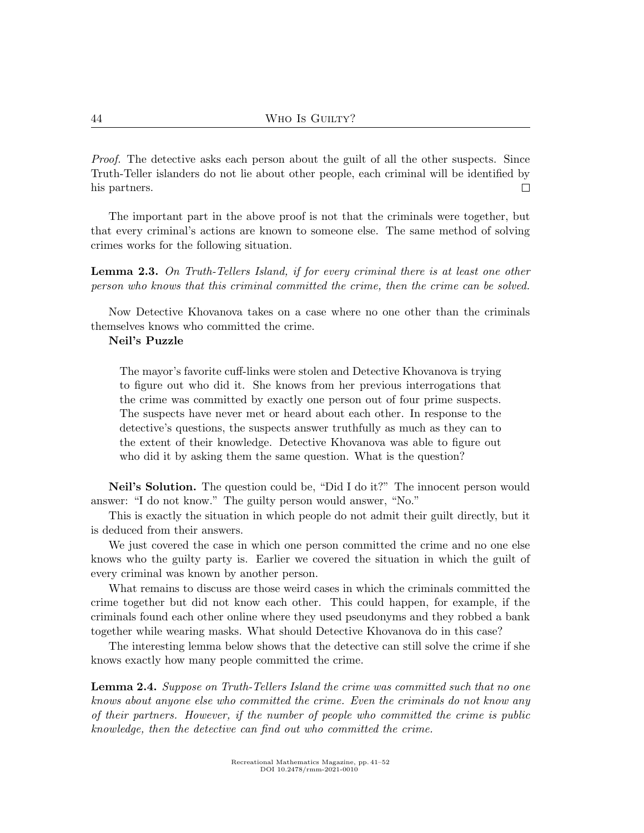Proof. The detective asks each person about the guilt of all the other suspects. Since Truth-Teller islanders do not lie about other people, each criminal will be identified by  $\Box$ his partners.

The important part in the above proof is not that the criminals were together, but that every criminal's actions are known to someone else. The same method of solving crimes works for the following situation.

<span id="page-3-0"></span>**Lemma 2.3.** On Truth-Tellers Island, if for every criminal there is at least one other person who knows that this criminal committed the crime, then the crime can be solved.

Now Detective Khovanova takes on a case where no one other than the criminals themselves knows who committed the crime.

#### Neil's Puzzle

The mayor's favorite cuff-links were stolen and Detective Khovanova is trying to figure out who did it. She knows from her previous interrogations that the crime was committed by exactly one person out of four prime suspects. The suspects have never met or heard about each other. In response to the detective's questions, the suspects answer truthfully as much as they can to the extent of their knowledge. Detective Khovanova was able to figure out who did it by asking them the same question. What is the question?

Neil's Solution. The question could be, "Did I do it?" The innocent person would answer: "I do not know." The guilty person would answer, "No."

This is exactly the situation in which people do not admit their guilt directly, but it is deduced from their answers.

We just covered the case in which one person committed the crime and no one else knows who the guilty party is. Earlier we covered the situation in which the guilt of every criminal was known by another person.

What remains to discuss are those weird cases in which the criminals committed the crime together but did not know each other. This could happen, for example, if the criminals found each other online where they used pseudonyms and they robbed a bank together while wearing masks. What should Detective Khovanova do in this case?

The interesting lemma below shows that the detective can still solve the crime if she knows exactly how many people committed the crime.

**Lemma 2.4.** Suppose on Truth-Tellers Island the crime was committed such that no one knows about anyone else who committed the crime. Even the criminals do not know any of their partners. However, if the number of people who committed the crime is public knowledge, then the detective can find out who committed the crime.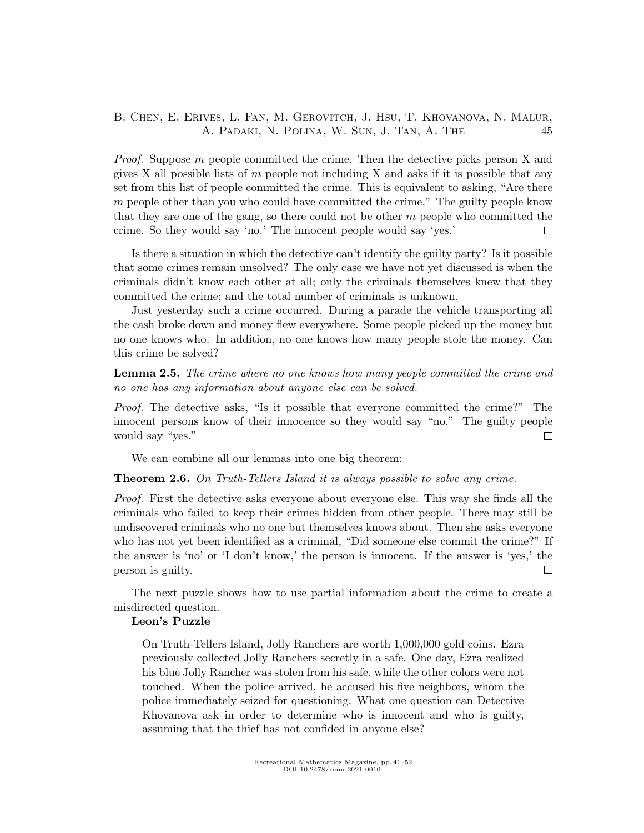### B. Chen, E. Erives, L. Fan, M. Gerovitch, J. Hsu, T. Khovanova, N. Malur, A. Padaki, N. Polina, W. Sun, J. Tan, A. The 45

*Proof.* Suppose m people committed the crime. Then the detective picks person X and gives X all possible lists of  $m$  people not including X and asks if it is possible that any set from this list of people committed the crime. This is equivalent to asking, "Are there  $m$  people other than you who could have committed the crime." The guilty people know that they are one of the gang, so there could not be other  $m$  people who committed the crime. So they would say 'no.' The innocent people would say 'yes.'  $\Box$ 

Is there a situation in which the detective can't identify the guilty party? Is it possible that some crimes remain unsolved? The only case we have not yet discussed is when the criminals didn't know each other at all; only the criminals themselves knew that they committed the crime; and the total number of criminals is unknown.

Just yesterday such a crime occurred. During a parade the vehicle transporting all the cash broke down and money flew everywhere. Some people picked up the money but no one knows who. In addition, no one knows how many people stole the money. Can this crime be solved?

Lemma 2.5. The crime where no one knows how many people committed the crime and no one has any information about anyone else can be solved.

Proof. The detective asks, "Is it possible that everyone committed the crime?" The innocent persons know of their innocence so they would say "no." The guilty people would say "yes."  $\Box$ 

We can combine all our lemmas into one big theorem:

<span id="page-4-0"></span>**Theorem 2.6.** On Truth-Tellers Island it is always possible to solve any crime.

Proof. First the detective asks everyone about everyone else. This way she finds all the criminals who failed to keep their crimes hidden from other people. There may still be undiscovered criminals who no one but themselves knows about. Then she asks everyone who has not yet been identified as a criminal, "Did someone else commit the crime?" If the answer is 'no' or 'I don't know,' the person is innocent. If the answer is 'yes,' the person is guilty.  $\Box$ 

The next puzzle shows how to use partial information about the crime to create a misdirected question.

#### Leon's Puzzle

On Truth-Tellers Island, Jolly Ranchers are worth 1,000,000 gold coins. Ezra previously collected Jolly Ranchers secretly in a safe. One day, Ezra realized his blue Jolly Rancher was stolen from his safe, while the other colors were not touched. When the police arrived, he accused his five neighbors, whom the police immediately seized for questioning. What one question can Detective Khovanova ask in order to determine who is innocent and who is guilty, assuming that the thief has not confided in anyone else?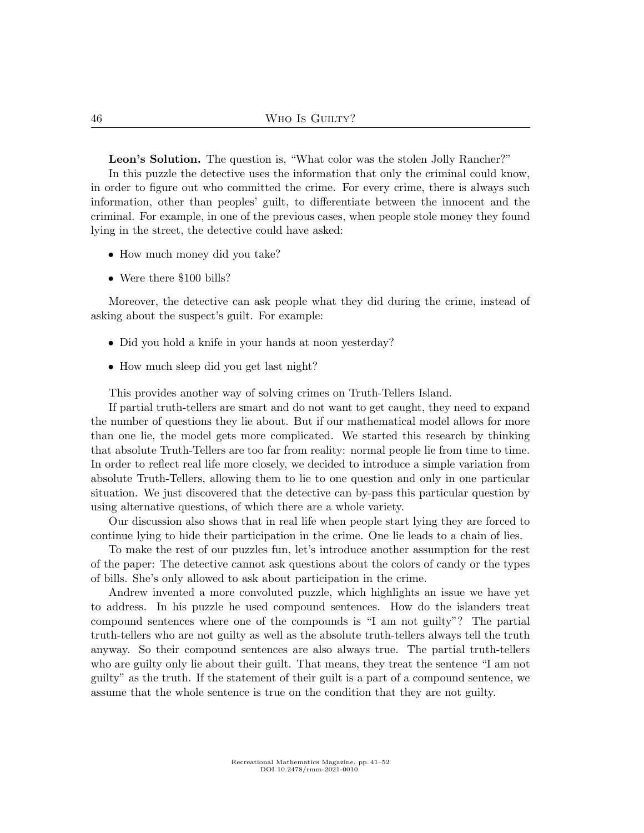Leon's Solution. The question is, "What color was the stolen Jolly Rancher?"

In this puzzle the detective uses the information that only the criminal could know, in order to figure out who committed the crime. For every crime, there is always such information, other than peoples' guilt, to differentiate between the innocent and the criminal. For example, in one of the previous cases, when people stole money they found lying in the street, the detective could have asked:

- How much money did you take?
- Were there \$100 bills?

Moreover, the detective can ask people what they did during the crime, instead of asking about the suspect's guilt. For example:

- Did you hold a knife in your hands at noon yesterday?
- How much sleep did you get last night?

This provides another way of solving crimes on Truth-Tellers Island.

If partial truth-tellers are smart and do not want to get caught, they need to expand the number of questions they lie about. But if our mathematical model allows for more than one lie, the model gets more complicated. We started this research by thinking that absolute Truth-Tellers are too far from reality: normal people lie from time to time. In order to reflect real life more closely, we decided to introduce a simple variation from absolute Truth-Tellers, allowing them to lie to one question and only in one particular situation. We just discovered that the detective can by-pass this particular question by using alternative questions, of which there are a whole variety.

Our discussion also shows that in real life when people start lying they are forced to continue lying to hide their participation in the crime. One lie leads to a chain of lies.

To make the rest of our puzzles fun, let's introduce another assumption for the rest of the paper: The detective cannot ask questions about the colors of candy or the types of bills. She's only allowed to ask about participation in the crime.

Andrew invented a more convoluted puzzle, which highlights an issue we have yet to address. In his puzzle he used compound sentences. How do the islanders treat compound sentences where one of the compounds is "I am not guilty"? The partial truth-tellers who are not guilty as well as the absolute truth-tellers always tell the truth anyway. So their compound sentences are also always true. The partial truth-tellers who are guilty only lie about their guilt. That means, they treat the sentence "I am not guilty" as the truth. If the statement of their guilt is a part of a compound sentence, we assume that the whole sentence is true on the condition that they are not guilty.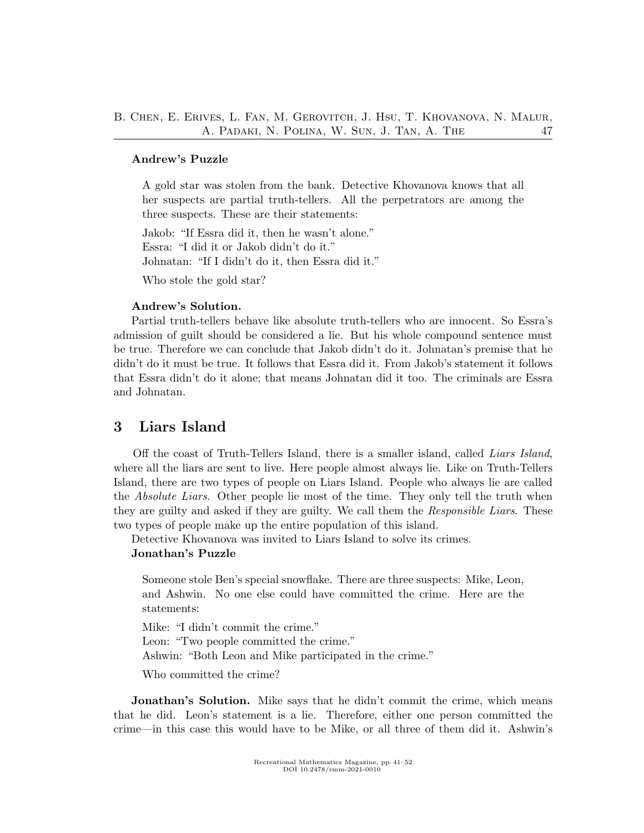### B. Chen, E. Erives, L. Fan, M. Gerovitch, J. Hsu, T. Khovanova, N. Malur, A. PADAKI, N. POLINA, W. SUN, J. TAN, A. THE 47

#### Andrew's Puzzle

A gold star was stolen from the bank. Detective Khovanova knows that all her suspects are partial truth-tellers. All the perpetrators are among the three suspects. These are their statements:

Jakob: "If Essra did it, then he wasn't alone." Essra: "I did it or Jakob didn't do it." Johnatan: "If I didn't do it, then Essra did it."

Who stole the gold star?

#### Andrew's Solution.

Partial truth-tellers behave like absolute truth-tellers who are innocent. So Essra's admission of guilt should be considered a lie. But his whole compound sentence must be true. Therefore we can conclude that Jakob didn't do it. Johnatan's premise that he didn't do it must be true. It follows that Essra did it. From Jakob's statement it follows that Essra didn't do it alone; that means Johnatan did it too. The criminals are Essra and Johnatan.

## 3 Liars Island

Off the coast of Truth-Tellers Island, there is a smaller island, called Liars Island, where all the liars are sent to live. Here people almost always lie. Like on Truth-Tellers Island, there are two types of people on Liars Island. People who always lie are called the Absolute Liars. Other people lie most of the time. They only tell the truth when they are guilty and asked if they are guilty. We call them the Responsible Liars. These two types of people make up the entire population of this island.

Detective Khovanova was invited to Liars Island to solve its crimes.

#### Jonathan's Puzzle

Someone stole Ben's special snowflake. There are three suspects: Mike, Leon, and Ashwin. No one else could have committed the crime. Here are the statements:

Mike: "I didn't commit the crime." Leon: "Two people committed the crime." Ashwin: "Both Leon and Mike participated in the crime."

Who committed the crime?

Jonathan's Solution. Mike says that he didn't commit the crime, which means that he did. Leon's statement is a lie. Therefore, either one person committed the crime—in this case this would have to be Mike, or all three of them did it. Ashwin's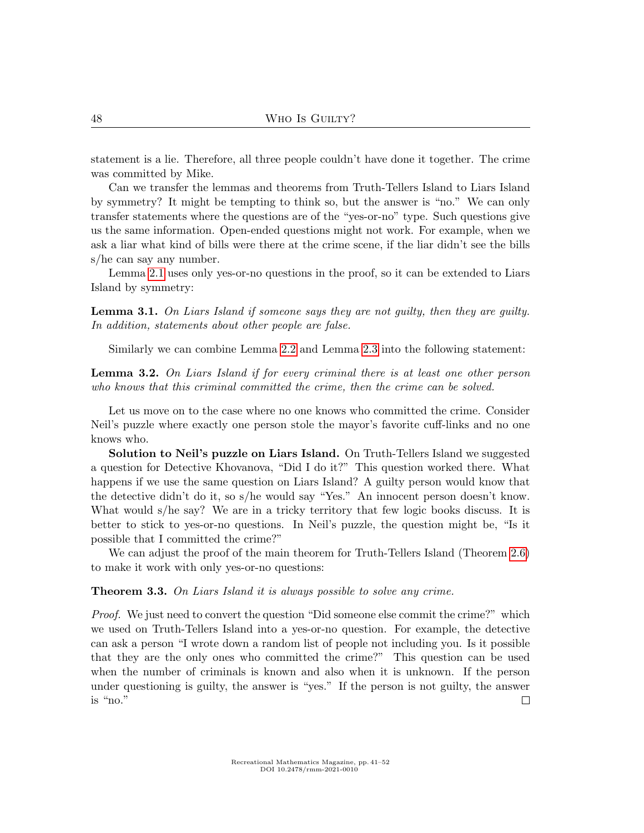statement is a lie. Therefore, all three people couldn't have done it together. The crime was committed by Mike.

Can we transfer the lemmas and theorems from Truth-Tellers Island to Liars Island by symmetry? It might be tempting to think so, but the answer is "no." We can only transfer statements where the questions are of the "yes-or-no" type. Such questions give us the same information. Open-ended questions might not work. For example, when we ask a liar what kind of bills were there at the crime scene, if the liar didn't see the bills s/he can say any number.

Lemma [2.1](#page-2-0) uses only yes-or-no questions in the proof, so it can be extended to Liars Island by symmetry:

Lemma 3.1. On Liars Island if someone says they are not guilty, then they are guilty. In addition, statements about other people are false.

Similarly we can combine Lemma [2.2](#page-2-1) and Lemma [2.3](#page-3-0) into the following statement:

Lemma 3.2. On Liars Island if for every criminal there is at least one other person who knows that this criminal committed the crime, then the crime can be solved.

Let us move on to the case where no one knows who committed the crime. Consider Neil's puzzle where exactly one person stole the mayor's favorite cuff-links and no one knows who.

Solution to Neil's puzzle on Liars Island. On Truth-Tellers Island we suggested a question for Detective Khovanova, "Did I do it?" This question worked there. What happens if we use the same question on Liars Island? A guilty person would know that the detective didn't do it, so s/he would say "Yes." An innocent person doesn't know. What would s/he say? We are in a tricky territory that few logic books discuss. It is better to stick to yes-or-no questions. In Neil's puzzle, the question might be, "Is it possible that I committed the crime?"

We can adjust the proof of the main theorem for Truth-Tellers Island (Theorem [2.6\)](#page-4-0) to make it work with only yes-or-no questions:

**Theorem 3.3.** On Liars Island it is always possible to solve any crime.

Proof. We just need to convert the question "Did someone else commit the crime?" which we used on Truth-Tellers Island into a yes-or-no question. For example, the detective can ask a person "I wrote down a random list of people not including you. Is it possible that they are the only ones who committed the crime?" This question can be used when the number of criminals is known and also when it is unknown. If the person under questioning is guilty, the answer is "yes." If the person is not guilty, the answer is "no."  $\Box$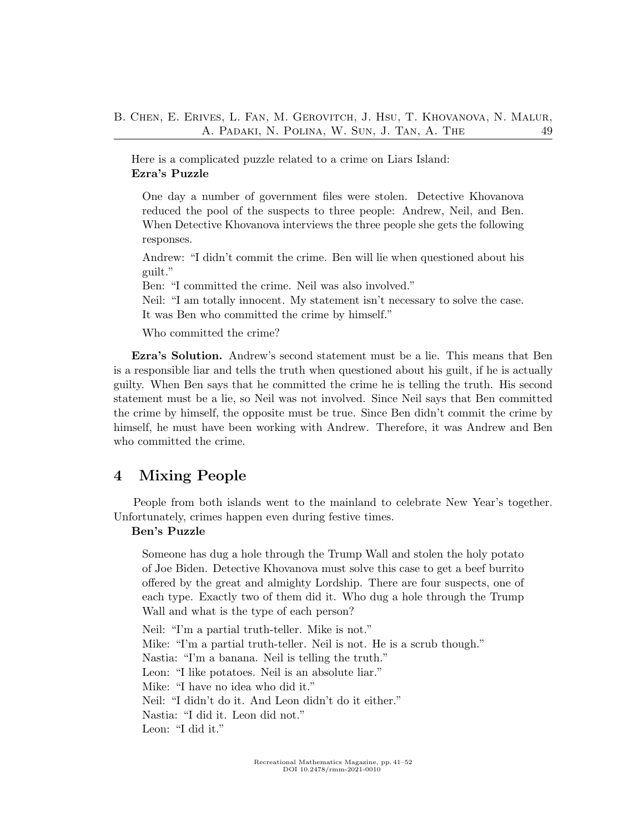Here is a complicated puzzle related to a crime on Liars Island: Ezra's Puzzle

One day a number of government files were stolen. Detective Khovanova reduced the pool of the suspects to three people: Andrew, Neil, and Ben. When Detective Khovanova interviews the three people she gets the following responses.

Andrew: "I didn't commit the crime. Ben will lie when questioned about his guilt."

Ben: "I committed the crime. Neil was also involved."

Neil: "I am totally innocent. My statement isn't necessary to solve the case. It was Ben who committed the crime by himself."

Who committed the crime?

Ezra's Solution. Andrew's second statement must be a lie. This means that Ben is a responsible liar and tells the truth when questioned about his guilt, if he is actually guilty. When Ben says that he committed the crime he is telling the truth. His second statement must be a lie, so Neil was not involved. Since Neil says that Ben committed the crime by himself, the opposite must be true. Since Ben didn't commit the crime by himself, he must have been working with Andrew. Therefore, it was Andrew and Ben who committed the crime.

## 4 Mixing People

People from both islands went to the mainland to celebrate New Year's together. Unfortunately, crimes happen even during festive times.

#### Ben's Puzzle

Someone has dug a hole through the Trump Wall and stolen the holy potato of Joe Biden. Detective Khovanova must solve this case to get a beef burrito offered by the great and almighty Lordship. There are four suspects, one of each type. Exactly two of them did it. Who dug a hole through the Trump Wall and what is the type of each person?

Neil: "I'm a partial truth-teller. Mike is not." Mike: "I'm a partial truth-teller. Neil is not. He is a scrub though." Nastia: "I'm a banana. Neil is telling the truth." Leon: "I like potatoes. Neil is an absolute liar." Mike: "I have no idea who did it." Neil: "I didn't do it. And Leon didn't do it either." Nastia: "I did it. Leon did not." Leon: "I did it."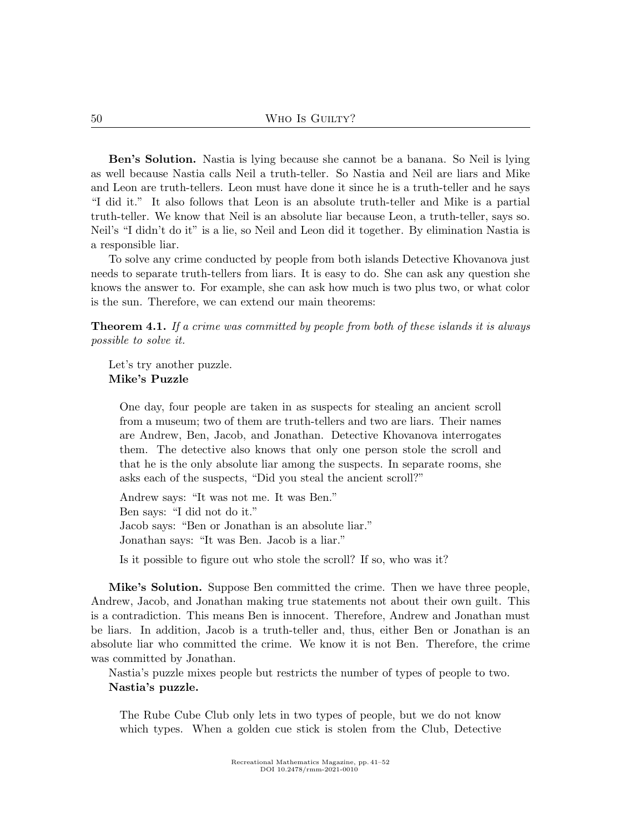Ben's Solution. Nastia is lying because she cannot be a banana. So Neil is lying as well because Nastia calls Neil a truth-teller. So Nastia and Neil are liars and Mike and Leon are truth-tellers. Leon must have done it since he is a truth-teller and he says "I did it." It also follows that Leon is an absolute truth-teller and Mike is a partial truth-teller. We know that Neil is an absolute liar because Leon, a truth-teller, says so. Neil's "I didn't do it" is a lie, so Neil and Leon did it together. By elimination Nastia is a responsible liar.

To solve any crime conducted by people from both islands Detective Khovanova just needs to separate truth-tellers from liars. It is easy to do. She can ask any question she knows the answer to. For example, she can ask how much is two plus two, or what color is the sun. Therefore, we can extend our main theorems:

**Theorem 4.1.** If a crime was committed by people from both of these islands it is always possible to solve it.

Let's try another puzzle. Mike's Puzzle

One day, four people are taken in as suspects for stealing an ancient scroll from a museum; two of them are truth-tellers and two are liars. Their names are Andrew, Ben, Jacob, and Jonathan. Detective Khovanova interrogates them. The detective also knows that only one person stole the scroll and that he is the only absolute liar among the suspects. In separate rooms, she asks each of the suspects, "Did you steal the ancient scroll?"

Andrew says: "It was not me. It was Ben." Ben says: "I did not do it." Jacob says: "Ben or Jonathan is an absolute liar." Jonathan says: "It was Ben. Jacob is a liar."

Is it possible to figure out who stole the scroll? If so, who was it?

Mike's Solution. Suppose Ben committed the crime. Then we have three people, Andrew, Jacob, and Jonathan making true statements not about their own guilt. This is a contradiction. This means Ben is innocent. Therefore, Andrew and Jonathan must be liars. In addition, Jacob is a truth-teller and, thus, either Ben or Jonathan is an absolute liar who committed the crime. We know it is not Ben. Therefore, the crime was committed by Jonathan.

Nastia's puzzle mixes people but restricts the number of types of people to two. Nastia's puzzle.

The Rube Cube Club only lets in two types of people, but we do not know which types. When a golden cue stick is stolen from the Club, Detective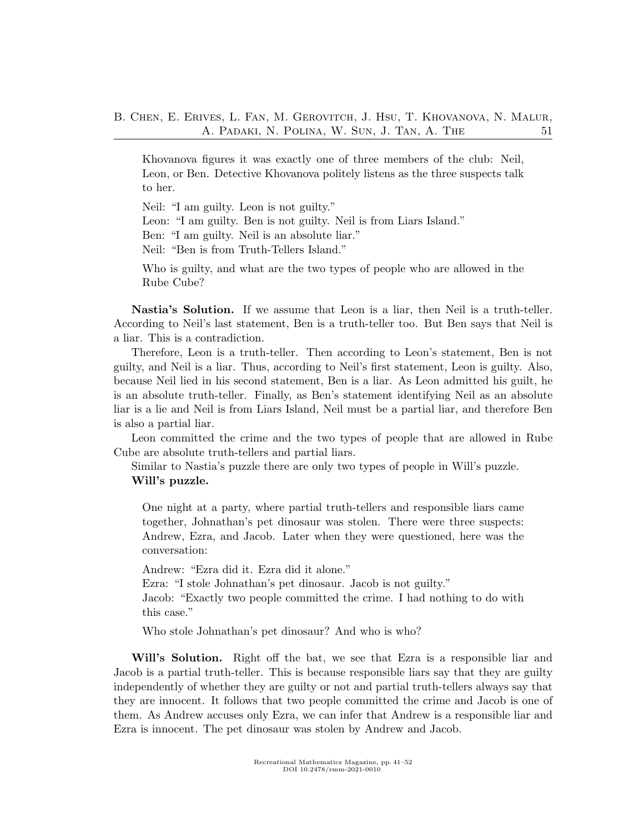Khovanova figures it was exactly one of three members of the club: Neil, Leon, or Ben. Detective Khovanova politely listens as the three suspects talk to her.

Neil: "I am guilty. Leon is not guilty." Leon: "I am guilty. Ben is not guilty. Neil is from Liars Island." Ben: "I am guilty. Neil is an absolute liar." Neil: "Ben is from Truth-Tellers Island."

Who is guilty, and what are the two types of people who are allowed in the Rube Cube?

Nastia's Solution. If we assume that Leon is a liar, then Neil is a truth-teller. According to Neil's last statement, Ben is a truth-teller too. But Ben says that Neil is a liar. This is a contradiction.

Therefore, Leon is a truth-teller. Then according to Leon's statement, Ben is not guilty, and Neil is a liar. Thus, according to Neil's first statement, Leon is guilty. Also, because Neil lied in his second statement, Ben is a liar. As Leon admitted his guilt, he is an absolute truth-teller. Finally, as Ben's statement identifying Neil as an absolute liar is a lie and Neil is from Liars Island, Neil must be a partial liar, and therefore Ben is also a partial liar.

Leon committed the crime and the two types of people that are allowed in Rube Cube are absolute truth-tellers and partial liars.

Similar to Nastia's puzzle there are only two types of people in Will's puzzle. Will's puzzle.

One night at a party, where partial truth-tellers and responsible liars came together, Johnathan's pet dinosaur was stolen. There were three suspects: Andrew, Ezra, and Jacob. Later when they were questioned, here was the conversation:

Andrew: "Ezra did it. Ezra did it alone."

Ezra: "I stole Johnathan's pet dinosaur. Jacob is not guilty."

Jacob: "Exactly two people committed the crime. I had nothing to do with this case."

Who stole Johnathan's pet dinosaur? And who is who?

Will's Solution. Right off the bat, we see that Ezra is a responsible liar and Jacob is a partial truth-teller. This is because responsible liars say that they are guilty independently of whether they are guilty or not and partial truth-tellers always say that they are innocent. It follows that two people committed the crime and Jacob is one of them. As Andrew accuses only Ezra, we can infer that Andrew is a responsible liar and Ezra is innocent. The pet dinosaur was stolen by Andrew and Jacob.